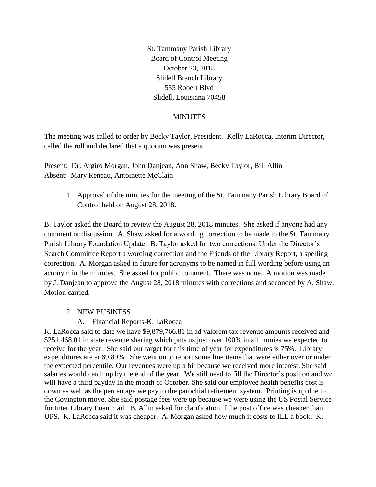St. Tammany Parish Library Board of Control Meeting October 23, 2018 Slidell Branch Library 555 Robert Blvd Slidell, Louisiana 70458

#### MINUTES

The meeting was called to order by Becky Taylor, President. Kelly LaRocca, Interim Director, called the roll and declared that a quorum was present.

Present: Dr. Argiro Morgan, John Danjean, Ann Shaw, Becky Taylor, Bill Allin Absent: Mary Reneau, Antoinette McClain

1. Approval of the minutes for the meeting of the St. Tammany Parish Library Board of Control held on August 28, 2018.

B. Taylor asked the Board to review the August 28, 2018 minutes. She asked if anyone had any comment or discussion. A. Shaw asked for a wording correction to be made to the St. Tammany Parish Library Foundation Update. B. Taylor asked for two corrections. Under the Director's Search Committee Report a wording correction and the Friends of the Library Report, a spelling correction. A. Morgan asked in future for acronyms to be named in full wording before using an acronym in the minutes. She asked for public comment. There was none. A motion was made by J. Danjean to approve the August 28, 2018 minutes with corrections and seconded by A. Shaw. Motion carried.

## 2. NEW BUSINESS

## A. Financial Reports-K. LaRocca

K. LaRocca said to date we have \$9,879,766.81 in ad valorem tax revenue amounts received and \$251,468.01 in state revenue sharing which puts us just over 100% in all monies we expected to receive for the year. She said our target for this time of year for expenditures is 75%. Library expenditures are at 69.89%. She went on to report some line items that were either over or under the expected percentile. Our revenues were up a bit because we received more interest. She said salaries would catch up by the end of the year. We still need to fill the Director's position and we will have a third payday in the month of October. She said our employee health benefits cost is down as well as the percentage we pay to the parochial retirement system. Printing is up due to the Covington move. She said postage fees were up because we were using the US Postal Service for Inter Library Loan mail. B. Allin asked for clarification if the post office was cheaper than UPS. K. LaRocca said it was cheaper. A. Morgan asked how much it costs to ILL a book. K.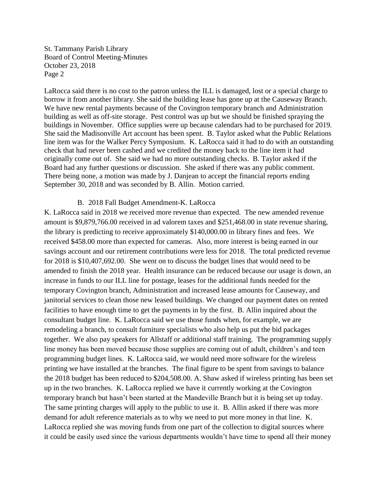LaRocca said there is no cost to the patron unless the ILL is damaged, lost or a special charge to borrow it from another library. She said the building lease has gone up at the Causeway Branch. We have new rental payments because of the Covington temporary branch and Administration building as well as off-site storage. Pest control was up but we should be finished spraying the buildings in November. Office supplies were up because calendars had to be purchased for 2019. She said the Madisonville Art account has been spent. B. Taylor asked what the Public Relations line item was for the Walker Percy Symposium. K. LaRocca said it had to do with an outstanding check that had never been cashed and we credited the money back to the line item it had originally come out of. She said we had no more outstanding checks. B. Taylor asked if the Board had any further questions or discussion. She asked if there was any public comment. There being none, a motion was made by J. Danjean to accept the financial reports ending September 30, 2018 and was seconded by B. Allin. Motion carried.

#### B. 2018 Fall Budget Amendment-K. LaRocca

K. LaRocca said in 2018 we received more revenue than expected. The new amended revenue amount is \$9,879,766.00 received in ad valorem taxes and \$251,468.00 in state revenue sharing, the library is predicting to receive approximately \$140,000.00 in library fines and fees. We received \$458.00 more than expected for cameras. Also, more interest is being earned in our savings account and our retirement contributions were less for 2018. The total predicted revenue for 2018 is \$10,407,692.00. She went on to discuss the budget lines that would need to be amended to finish the 2018 year. Health insurance can be reduced because our usage is down, an increase in funds to our ILL line for postage, leases for the additional funds needed for the temporary Covington branch, Administration and increased lease amounts for Causeway, and janitorial services to clean those new leased buildings. We changed our payment dates on rented facilities to have enough time to get the payments in by the first. B. Allin inquired about the consultant budget line. K. LaRocca said we use those funds when, for example, we are remodeling a branch, to consult furniture specialists who also help us put the bid packages together. We also pay speakers for Allstaff or additional staff training. The programming supply line money has been moved because those supplies are coming out of adult, children's and teen programming budget lines. K. LaRocca said, we would need more software for the wireless printing we have installed at the branches. The final figure to be spent from savings to balance the 2018 budget has been reduced to \$204,508.00. A. Shaw asked if wireless printing has been set up in the two branches. K. LaRocca replied we have it currently working at the Covington temporary branch but hasn't been started at the Mandeville Branch but it is being set up today. The same printing charges will apply to the public to use it. B. Allin asked if there was more demand for adult reference materials as to why we need to put more money in that line. K. LaRocca replied she was moving funds from one part of the collection to digital sources where it could be easily used since the various departments wouldn't have time to spend all their money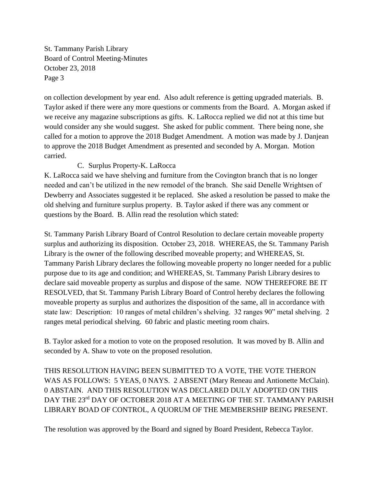on collection development by year end. Also adult reference is getting upgraded materials. B. Taylor asked if there were any more questions or comments from the Board. A. Morgan asked if we receive any magazine subscriptions as gifts. K. LaRocca replied we did not at this time but would consider any she would suggest. She asked for public comment. There being none, she called for a motion to approve the 2018 Budget Amendment. A motion was made by J. Danjean to approve the 2018 Budget Amendment as presented and seconded by A. Morgan. Motion carried.

## C. Surplus Property-K. LaRocca

K. LaRocca said we have shelving and furniture from the Covington branch that is no longer needed and can't be utilized in the new remodel of the branch. She said Denelle Wrightsen of Dewberry and Associates suggested it be replaced. She asked a resolution be passed to make the old shelving and furniture surplus property. B. Taylor asked if there was any comment or questions by the Board. B. Allin read the resolution which stated:

St. Tammany Parish Library Board of Control Resolution to declare certain moveable property surplus and authorizing its disposition. October 23, 2018. WHEREAS, the St. Tammany Parish Library is the owner of the following described moveable property; and WHEREAS, St. Tammany Parish Library declares the following moveable property no longer needed for a public purpose due to its age and condition; and WHEREAS, St. Tammany Parish Library desires to declare said moveable property as surplus and dispose of the same. NOW THEREFORE BE IT RESOLVED, that St. Tammany Parish Library Board of Control hereby declares the following moveable property as surplus and authorizes the disposition of the same, all in accordance with state law: Description: 10 ranges of metal children's shelving. 32 ranges 90" metal shelving. 2 ranges metal periodical shelving. 60 fabric and plastic meeting room chairs.

B. Taylor asked for a motion to vote on the proposed resolution. It was moved by B. Allin and seconded by A. Shaw to vote on the proposed resolution.

THIS RESOLUTION HAVING BEEN SUBMITTED TO A VOTE, THE VOTE THERON WAS AS FOLLOWS: 5 YEAS, 0 NAYS. 2 ABSENT (Mary Reneau and Antionette McClain). 0 ABSTAIN. AND THIS RESOLUTION WAS DECLARED DULY ADOPTED ON THIS DAY THE 23<sup>rd</sup> DAY OF OCTOBER 2018 AT A MEETING OF THE ST. TAMMANY PARISH LIBRARY BOAD OF CONTROL, A QUORUM OF THE MEMBERSHIP BEING PRESENT.

The resolution was approved by the Board and signed by Board President, Rebecca Taylor.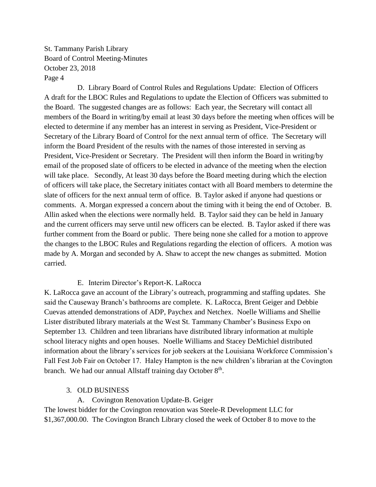D. Library Board of Control Rules and Regulations Update: Election of Officers A draft for the LBOC Rules and Regulations to update the Election of Officers was submitted to the Board. The suggested changes are as follows: Each year, the Secretary will contact all members of the Board in writing/by email at least 30 days before the meeting when offices will be elected to determine if any member has an interest in serving as President, Vice-President or Secretary of the Library Board of Control for the next annual term of office. The Secretary will inform the Board President of the results with the names of those interested in serving as President, Vice-President or Secretary. The President will then inform the Board in writing/by email of the proposed slate of officers to be elected in advance of the meeting when the election will take place. Secondly, At least 30 days before the Board meeting during which the election of officers will take place, the Secretary initiates contact with all Board members to determine the slate of officers for the next annual term of office. B. Taylor asked if anyone had questions or comments. A. Morgan expressed a concern about the timing with it being the end of October. B. Allin asked when the elections were normally held. B. Taylor said they can be held in January and the current officers may serve until new officers can be elected. B. Taylor asked if there was further comment from the Board or public. There being none she called for a motion to approve the changes to the LBOC Rules and Regulations regarding the election of officers. A motion was made by A. Morgan and seconded by A. Shaw to accept the new changes as submitted. Motion carried.

#### E. Interim Director's Report-K. LaRocca

K. LaRocca gave an account of the Library's outreach, programming and staffing updates. She said the Causeway Branch's bathrooms are complete. K. LaRocca, Brent Geiger and Debbie Cuevas attended demonstrations of ADP, Paychex and Netchex. Noelle Williams and Shellie Lister distributed library materials at the West St. Tammany Chamber's Business Expo on September 13. Children and teen librarians have distributed library information at multiple school literacy nights and open houses. Noelle Williams and Stacey DeMichiel distributed information about the library's services for job seekers at the Louisiana Workforce Commission's Fall Fest Job Fair on October 17. Haley Hampton is the new children's librarian at the Covington branch. We had our annual Allstaff training day October 8<sup>th</sup>.

#### 3. OLD BUSINESS

A. Covington Renovation Update-B. Geiger

The lowest bidder for the Covington renovation was Steele-R Development LLC for \$1,367,000.00. The Covington Branch Library closed the week of October 8 to move to the